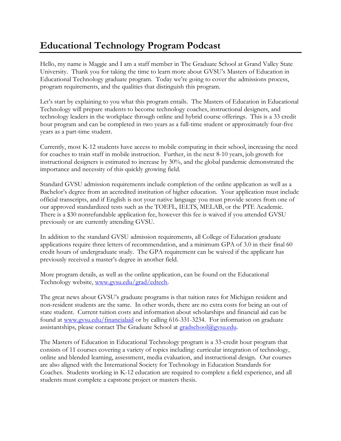## **Educational Technology Program Podcast**

Hello, my name is Maggie and I am a staff member in The Graduate School at Grand Valley State University. Thank you for taking the time to learn more about GVSU's Masters of Education in Educational Technology graduate program. Today we're going to cover the admissions process, program requirements, and the qualities that distinguish this program.

Let's start by explaining to you what this program entails. The Masters of Education in Educational Technology will prepare students to become technology coaches, instructional designers, and technology leaders in the workplace through online and hybrid course offerings. This is a 33 credit hour program and can be completed in two years as a full-time student or approximately four-five years as a part-time student.

Currently, most K-12 students have access to mobile computing in their school, increasing the need for coaches to train staff in mobile instruction. Further, in the next 8-10 years, job growth for instructional designers is estimated to increase by 30%, and the global pandemic demonstrated the importance and necessity of this quickly growing field.

Standard GVSU admission requirements include completion of the online application as well as a Bachelor's degree from an accredited institution of higher education. Your application must include official transcripts, and if English is not your native language you must provide scores from one of our approved standardized tests such as the TOEFL, IELTS, MELAB, or the PTE Academic. There is a \$30 nonrefundable application fee, however this fee is waived if you attended GVSU previously or are currently attending GVSU.

In addition to the standard GVSU admission requirements, all College of Education graduate applications require three letters of recommendation, and a minimum GPA of 3.0 in their final 60 credit hours of undergraduate study. The GPA requirement can be waived if the applicant has previously received a master's degree in another field.

More program details, as well as the online application, can be found on the Educational Technology website, [www.gvsu.edu/grad/edtech.](file://///OFFICE.ADS.GVSU.EDU/DFS/Administration-Data/GRADSTUD/Podcasts/Program%20Specific%20Podcasts/M.Ed.%20in%20Ed%20Tech/www.gvsu.edu/grad/edtech)

The great news about GVSU's graduate programs is that tuition rates for Michigan resident and non-resident students are the same. In other words, there are no extra costs for being an out of state student. Current tuition costs and information about scholarships and financial aid can be found at [www.gvsu.edu/financialaid](file://///OFFICE.ADS.GVSU.EDU/DFS/Administration-Data/GRADSTUD/Podcasts/Program%20Specific%20Podcasts/M.Ed.%20in%20Ed%20Tech/www.gvsu.edu/financialaid) or by calling 616-331-3234. For information on graduate assistantships, please contact The Graduate School at [gradschool@gvsu.edu.](file://///OFFICE.ADS.GVSU.EDU/DFS/Administration-Data/GRADSTUD/Podcasts/Program%20Specific%20Podcasts/M.Ed.%20in%20Ed%20Tech/gradschool@gvsu.edu)

The Masters of Education in Educational Technology program is a 33-credit hour program that consists of 11 courses covering a variety of topics including: curricular integration of technology, online and blended learning, assessment, media evaluation, and instructional design. Our courses are also aligned with the International Society for Technology in Education Standards for Coaches. Students working in K-12 education are required to complete a field experience, and all students must complete a capstone project or masters thesis.